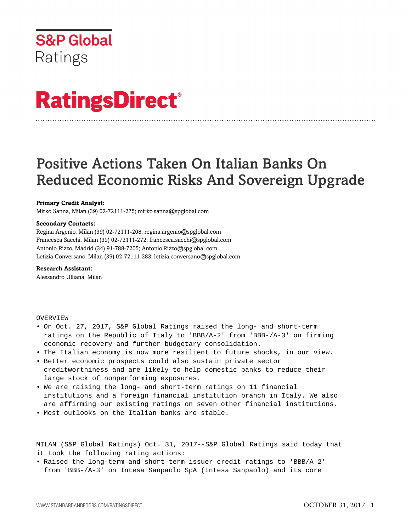

# **RatingsDirect®**

# Positive Actions Taken On Italian Banks On Reduced Economic Risks And Sovereign Upgrade

# **Primary Credit Analyst:**

Mirko Sanna, Milan (39) 02-72111-275; mirko.sanna@spglobal.com

#### **Secondary Contacts:**

Regina Argenio, Milan (39) 02-72111-208; regina.argenio@spglobal.com Francesca Sacchi, Milan (39) 02-72111-272; francesca.sacchi@spglobal.com Antonio Rizzo, Madrid (34) 91-788-7205; Antonio.Rizzo@spglobal.com Letizia Conversano, Milan (39) 02-72111-283; letizia.conversano@spglobal.com

# **Research Assistant:**

Alessandro Ulliana, Milan

#### OVERVIEW

- On Oct. 27, 2017, S&P Global Ratings raised the long- and short-term ratings on the Republic of Italy to 'BBB/A-2' from 'BBB-/A-3' on firming economic recovery and further budgetary consolidation.
- The Italian economy is now more resilient to future shocks, in our view.
- Better economic prospects could also sustain private sector creditworthiness and are likely to help domestic banks to reduce their large stock of nonperforming exposures.
- We are raising the long- and short-term ratings on 11 financial institutions and a foreign financial institution branch in Italy. We also are affirming our existing ratings on seven other financial institutions.
- Most outlooks on the Italian banks are stable.

MILAN (S&P Global Ratings) Oct. 31, 2017--S&P Global Ratings said today that it took the following rating actions:

• Raised the long-term and short-term issuer credit ratings to 'BBB/A-2' from 'BBB-/A-3' on Intesa Sanpaolo SpA (Intesa Sanpaolo) and its core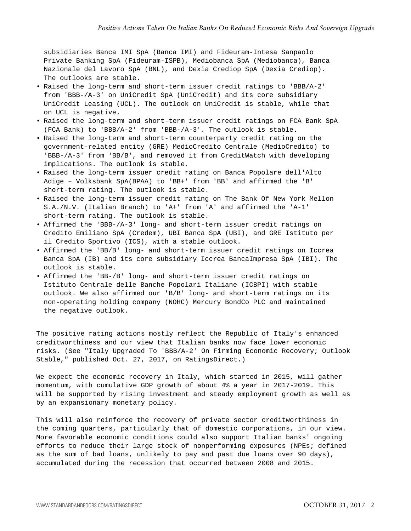subsidiaries Banca IMI SpA (Banca IMI) and Fideuram-Intesa Sanpaolo Private Banking SpA (Fideuram-ISPB), Mediobanca SpA (Mediobanca), Banca Nazionale del Lavoro SpA (BNL), and Dexia Crediop SpA (Dexia Crediop). The outlooks are stable.

- Raised the long-term and short-term issuer credit ratings to 'BBB/A-2' from 'BBB-/A-3' on UniCredit SpA (UniCredit) and its core subsidiary UniCredit Leasing (UCL). The outlook on UniCredit is stable, while that on UCL is negative.
- Raised the long-term and short-term issuer credit ratings on FCA Bank SpA (FCA Bank) to 'BBB/A-2' from 'BBB-/A-3'. The outlook is stable.
- Raised the long-term and short-term counterparty credit rating on the government-related entity (GRE) MedioCredito Centrale (MedioCredito) to 'BBB-/A-3' from 'BB/B', and removed it from CreditWatch with developing implications. The outlook is stable.
- Raised the long-term issuer credit rating on Banca Popolare dell'Alto Adige – Volksbank SpA(BPAA) to 'BB+' from 'BB' and affirmed the 'B' short-term rating. The outlook is stable.
- Raised the long-term issuer credit rating on The Bank Of New York Mellon S.A./N.V. (Italian Branch) to 'A+' from 'A' and affirmed the 'A-1' short-term rating. The outlook is stable.
- Affirmed the 'BBB-/A-3' long- and short-term issuer credit ratings on Credito Emiliano SpA (Credem), UBI Banca SpA (UBI), and GRE Istituto per il Credito Sportivo (ICS), with a stable outlook.
- Affirmed the 'BB/B' long- and short-term issuer credit ratings on Iccrea Banca SpA (IB) and its core subsidiary Iccrea BancaImpresa SpA (IBI). The outlook is stable.
- Affirmed the 'BB-/B' long- and short-term issuer credit ratings on Istituto Centrale delle Banche Popolari Italiane (ICBPI) with stable outlook. We also affirmed our 'B/B' long- and short-term ratings on its non-operating holding company (NOHC) Mercury BondCo PLC and maintained the negative outlook.

The positive rating actions mostly reflect the Republic of Italy's enhanced creditworthiness and our view that Italian banks now face lower economic risks. (See "Italy Upgraded To 'BBB/A-2' On Firming Economic Recovery; Outlook Stable," published Oct. 27, 2017, on RatingsDirect.)

We expect the economic recovery in Italy, which started in 2015, will gather momentum, with cumulative GDP growth of about 4% a year in 2017-2019. This will be supported by rising investment and steady employment growth as well as by an expansionary monetary policy.

This will also reinforce the recovery of private sector creditworthiness in the coming quarters, particularly that of domestic corporations, in our view. More favorable economic conditions could also support Italian banks' ongoing efforts to reduce their large stock of nonperforming exposures (NPEs; defined as the sum of bad loans, unlikely to pay and past due loans over 90 days), accumulated during the recession that occurred between 2008 and 2015.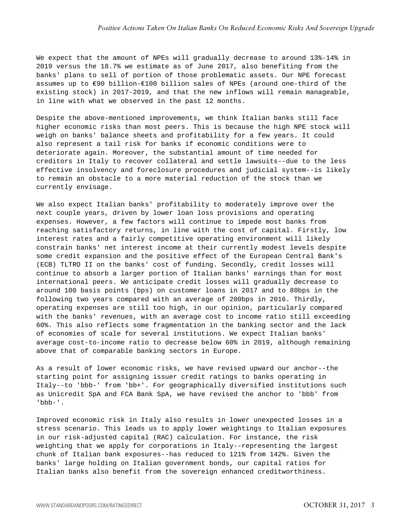We expect that the amount of NPEs will gradually decrease to around 13%-14% in 2019 versus the 18.7% we estimate as of June 2017, also benefiting from the banks' plans to sell of portion of those problematic assets. Our NPE forecast assumes up to €90 billion-€100 billion sales of NPEs (around one-third of the existing stock) in 2017-2019, and that the new inflows will remain manageable, in line with what we observed in the past 12 months.

Despite the above-mentioned improvements, we think Italian banks still face higher economic risks than most peers. This is because the high NPE stock will weigh on banks' balance sheets and profitability for a few years. It could also represent a tail risk for banks if economic conditions were to deteriorate again. Moreover, the substantial amount of time needed for creditors in Italy to recover collateral and settle lawsuits--due to the less effective insolvency and foreclosure procedures and judicial system--is likely to remain an obstacle to a more material reduction of the stock than we currently envisage.

We also expect Italian banks' profitability to moderately improve over the next couple years, driven by lower loan loss provisions and operating expenses. However, a few factors will continue to impede most banks from reaching satisfactory returns, in line with the cost of capital. Firstly, low interest rates and a fairly competitive operating environment will likely constrain banks' net interest income at their currently modest levels despite some credit expansion and the positive effect of the European Central Bank's (ECB) TLTRO II on the banks' cost of funding. Secondly, credit losses will continue to absorb a larger portion of Italian banks' earnings than for most international peers. We anticipate credit losses will gradually decrease to around 100 basis points (bps) on customer loans in 2017 and to 80bps in the following two years compared with an average of 200bps in 2016. Thirdly, operating expenses are still too high, in our opinion, particularly compared with the banks' revenues, with an average cost to income ratio still exceeding 60%. This also reflects some fragmentation in the banking sector and the lack of economies of scale for several institutions. We expect Italian banks' average cost-to-income ratio to decrease below 60% in 2019, although remaining above that of comparable banking sectors in Europe.

As a result of lower economic risks, we have revised upward our anchor--the starting point for assigning issuer credit ratings to banks operating in Italy--to 'bbb-' from 'bb+'. For geographically diversified institutions such as Unicredit SpA and FCA Bank SpA, we have revised the anchor to 'bbb' from 'bbb-'.

Improved economic risk in Italy also results in lower unexpected losses in a stress scenario. This leads us to apply lower weightings to Italian exposures in our risk-adjusted capital (RAC) calculation. For instance, the risk weighting that we apply for corporations in Italy--representing the largest chunk of Italian bank exposures--has reduced to 121% from 142%. Given the banks' large holding on Italian government bonds, our capital ratios for Italian banks also benefit from the sovereign enhanced creditworthiness.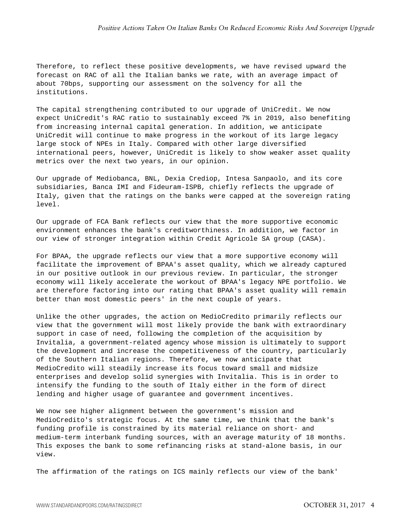Therefore, to reflect these positive developments, we have revised upward the forecast on RAC of all the Italian banks we rate, with an average impact of about 70bps, supporting our assessment on the solvency for all the institutions.

The capital strengthening contributed to our upgrade of UniCredit. We now expect UniCredit's RAC ratio to sustainably exceed 7% in 2019, also benefiting from increasing internal capital generation. In addition, we anticipate UniCredit will continue to make progress in the workout of its large legacy large stock of NPEs in Italy. Compared with other large diversified international peers, however, UniCredit is likely to show weaker asset quality metrics over the next two years, in our opinion.

Our upgrade of Mediobanca, BNL, Dexia Crediop, Intesa Sanpaolo, and its core subsidiaries, Banca IMI and Fideuram-ISPB, chiefly reflects the upgrade of Italy, given that the ratings on the banks were capped at the sovereign rating level.

Our upgrade of FCA Bank reflects our view that the more supportive economic environment enhances the bank's creditworthiness. In addition, we factor in our view of stronger integration within Credit Agricole SA group (CASA).

For BPAA, the upgrade reflects our view that a more supportive economy will facilitate the improvement of BPAA's asset quality, which we already captured in our positive outlook in our previous review. In particular, the stronger economy will likely accelerate the workout of BPAA's legacy NPE portfolio. We are therefore factoring into our rating that BPAA's asset quality will remain better than most domestic peers' in the next couple of years.

Unlike the other upgrades, the action on MedioCredito primarily reflects our view that the government will most likely provide the bank with extraordinary support in case of need, following the completion of the acquisition by Invitalia, a government-related agency whose mission is ultimately to support the development and increase the competitiveness of the country, particularly of the Southern Italian regions. Therefore, we now anticipate that MedioCredito will steadily increase its focus toward small and midsize enterprises and develop solid synergies with Invitalia. This is in order to intensify the funding to the south of Italy either in the form of direct lending and higher usage of guarantee and government incentives.

We now see higher alignment between the government's mission and MedioCredito's strategic focus. At the same time, we think that the bank's funding profile is constrained by its material reliance on short- and medium-term interbank funding sources, with an average maturity of 18 months. This exposes the bank to some refinancing risks at stand-alone basis, in our view.

The affirmation of the ratings on ICS mainly reflects our view of the bank'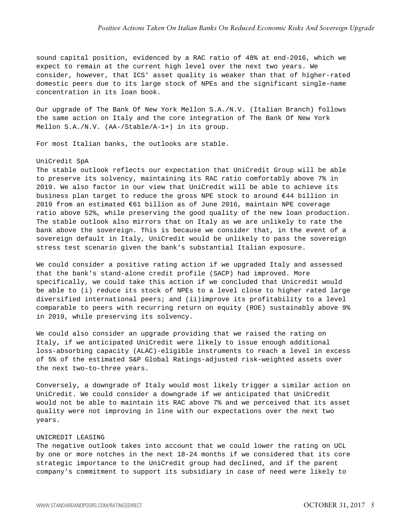sound capital position, evidenced by a RAC ratio of 48% at end-2016, which we expect to remain at the current high level over the next two years. We consider, however, that ICS' asset quality is weaker than that of higher-rated domestic peers due to its large stock of NPEs and the significant single-name concentration in its loan book.

Our upgrade of The Bank Of New York Mellon S.A./N.V. (Italian Branch) follows the same action on Italy and the core integration of The Bank Of New York Mellon S.A./N.V. (AA-/Stable/A-1+) in its group.

For most Italian banks, the outlooks are stable.

# UniCredit SpA

The stable outlook reflects our expectation that UniCredit Group will be able to preserve its solvency, maintaining its RAC ratio comfortably above 7% in 2019. We also factor in our view that UniCredit will be able to achieve its business plan target to reduce the gross NPE stock to around €44 billion in 2019 from an estimated €61 billion as of June 2016, maintain NPE coverage ratio above 52%, while preserving the good quality of the new loan production. The stable outlook also mirrors that on Italy as we are unlikely to rate the bank above the sovereign. This is because we consider that, in the event of a sovereign default in Italy, UniCredit would be unlikely to pass the sovereign stress test scenario given the bank's substantial Italian exposure.

We could consider a positive rating action if we upgraded Italy and assessed that the bank's stand-alone credit profile (SACP) had improved. More specifically, we could take this action if we concluded that Unicredit would be able to (i) reduce its stock of NPEs to a level close to higher rated large diversified international peers; and (ii)improve its profitability to a level comparable to peers with recurring return on equity (ROE) sustainably above 9% in 2019, while preserving its solvency.

We could also consider an upgrade providing that we raised the rating on Italy, if we anticipated UniCredit were likely to issue enough additional loss-absorbing capacity (ALAC)-eligible instruments to reach a level in excess of 5% of the estimated S&P Global Ratings-adjusted risk-weighted assets over the next two-to-three years.

Conversely, a downgrade of Italy would most likely trigger a similar action on UniCredit. We could consider a downgrade if we anticipated that UniCredit would not be able to maintain its RAC above 7% and we perceived that its asset quality were not improving in line with our expectations over the next two years.

#### UNICREDIT LEASING

The negative outlook takes into account that we could lower the rating on UCL by one or more notches in the next 18-24 months if we considered that its core strategic importance to the UniCredit group had declined, and if the parent company's commitment to support its subsidiary in case of need were likely to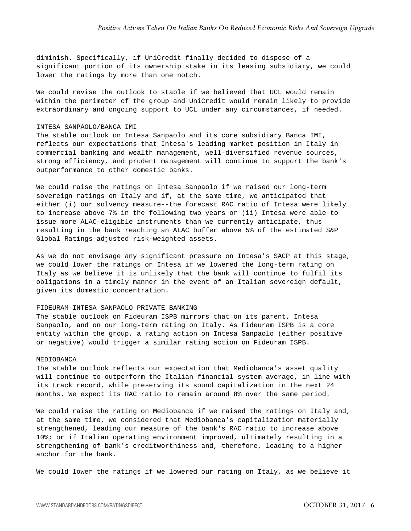diminish. Specifically, if UniCredit finally decided to dispose of a significant portion of its ownership stake in its leasing subsidiary, we could lower the ratings by more than one notch.

We could revise the outlook to stable if we believed that UCL would remain within the perimeter of the group and UniCredit would remain likely to provide extraordinary and ongoing support to UCL under any circumstances, if needed.

#### INTESA SANPAOLO/BANCA IMI

The stable outlook on Intesa Sanpaolo and its core subsidiary Banca IMI, reflects our expectations that Intesa's leading market position in Italy in commercial banking and wealth management, well-diversified revenue sources, strong efficiency, and prudent management will continue to support the bank's outperformance to other domestic banks.

We could raise the ratings on Intesa Sanpaolo if we raised our long-term sovereign ratings on Italy and if, at the same time, we anticipated that either (i) our solvency measure--the forecast RAC ratio of Intesa were likely to increase above 7% in the following two years or (ii) Intesa were able to issue more ALAC-eligible instruments than we currently anticipate, thus resulting in the bank reaching an ALAC buffer above 5% of the estimated S&P Global Ratings-adjusted risk-weighted assets.

As we do not envisage any significant pressure on Intesa's SACP at this stage, we could lower the ratings on Intesa if we lowered the long-term rating on Italy as we believe it is unlikely that the bank will continue to fulfil its obligations in a timely manner in the event of an Italian sovereign default, given its domestic concentration.

#### FIDEURAM-INTESA SANPAOLO PRIVATE BANKING

The stable outlook on Fideuram ISPB mirrors that on its parent, Intesa Sanpaolo, and on our long-term rating on Italy. As Fideuram ISPB is a core entity within the group, a rating action on Intesa Sanpaolo (either positive or negative) would trigger a similar rating action on Fideuram ISPB.

#### MEDIOBANCA

The stable outlook reflects our expectation that Mediobanca's asset quality will continue to outperform the Italian financial system average, in line with its track record, while preserving its sound capitalization in the next 24 months. We expect its RAC ratio to remain around 8% over the same period.

We could raise the rating on Mediobanca if we raised the ratings on Italy and, at the same time, we considered that Mediobanca's capitalization materially strengthened, leading our measure of the bank's RAC ratio to increase above 10%; or if Italian operating environment improved, ultimately resulting in a strengthening of bank's creditworthiness and, therefore, leading to a higher anchor for the bank.

We could lower the ratings if we lowered our rating on Italy, as we believe it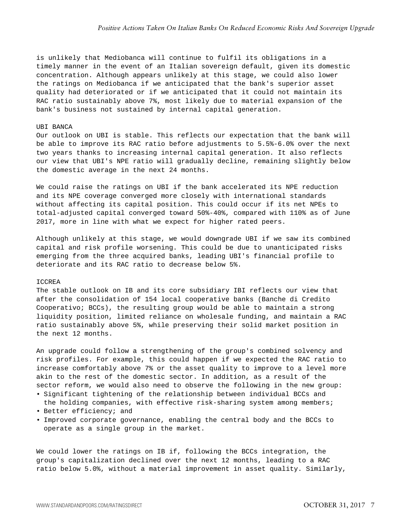is unlikely that Mediobanca will continue to fulfil its obligations in a timely manner in the event of an Italian sovereign default, given its domestic concentration. Although appears unlikely at this stage, we could also lower the ratings on Mediobanca if we anticipated that the bank's superior asset quality had deteriorated or if we anticipated that it could not maintain its RAC ratio sustainably above 7%, most likely due to material expansion of the bank's business not sustained by internal capital generation.

#### IIRI RANCA

Our outlook on UBI is stable. This reflects our expectation that the bank will be able to improve its RAC ratio before adjustments to 5.5%-6.0% over the next two years thanks to increasing internal capital generation. It also reflects our view that UBI's NPE ratio will gradually decline, remaining slightly below the domestic average in the next 24 months.

We could raise the ratings on UBI if the bank accelerated its NPE reduction and its NPE coverage converged more closely with international standards without affecting its capital position. This could occur if its net NPEs to total-adjusted capital converged toward 50%-40%, compared with 110% as of June 2017, more in line with what we expect for higher rated peers.

Although unlikely at this stage, we would downgrade UBI if we saw its combined capital and risk profile worsening. This could be due to unanticipated risks emerging from the three acquired banks, leading UBI's financial profile to deteriorate and its RAC ratio to decrease below 5%.

#### ICCREA

The stable outlook on IB and its core subsidiary IBI reflects our view that after the consolidation of 154 local cooperative banks (Banche di Credito Cooperativo; BCCs), the resulting group would be able to maintain a strong liquidity position, limited reliance on wholesale funding, and maintain a RAC ratio sustainably above 5%, while preserving their solid market position in the next 12 months.

An upgrade could follow a strengthening of the group's combined solvency and risk profiles. For example, this could happen if we expected the RAC ratio to increase comfortably above 7% or the asset quality to improve to a level more akin to the rest of the domestic sector. In addition, as a result of the sector reform, we would also need to observe the following in the new group:

- Significant tightening of the relationship between individual BCCs and the holding companies, with effective risk-sharing system among members;
- Better efficiency; and
- Improved corporate governance, enabling the central body and the BCCs to operate as a single group in the market.

We could lower the ratings on IB if, following the BCCs integration, the group's capitalization declined over the next 12 months, leading to a RAC ratio below 5.0%, without a material improvement in asset quality. Similarly,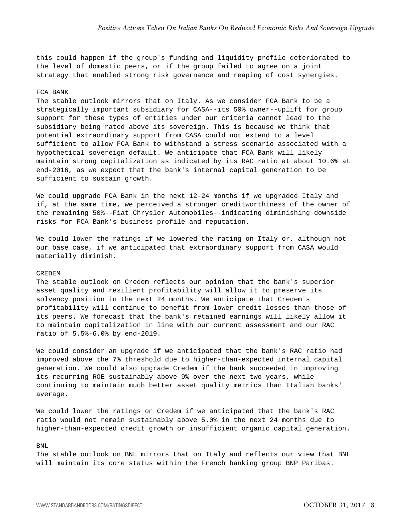this could happen if the group's funding and liquidity profile deteriorated to the level of domestic peers, or if the group failed to agree on a joint strategy that enabled strong risk governance and reaping of cost synergies.

# FCA BANK

The stable outlook mirrors that on Italy. As we consider FCA Bank to be a strategically important subsidiary for CASA--its 50% owner--uplift for group support for these types of entities under our criteria cannot lead to the subsidiary being rated above its sovereign. This is because we think that potential extraordinary support from CASA could not extend to a level sufficient to allow FCA Bank to withstand a stress scenario associated with a hypothetical sovereign default. We anticipate that FCA Bank will likely maintain strong capitalization as indicated by its RAC ratio at about 10.6% at end-2016, as we expect that the bank's internal capital generation to be sufficient to sustain growth.

We could upgrade FCA Bank in the next 12-24 months if we upgraded Italy and if, at the same time, we perceived a stronger creditworthiness of the owner of the remaining 50%--Fiat Chrysler Automobiles--indicating diminishing downside risks for FCA Bank's business profile and reputation.

We could lower the ratings if we lowered the rating on Italy or, although not our base case, if we anticipated that extraordinary support from CASA would materially diminish.

#### CREDEM

The stable outlook on Credem reflects our opinion that the bank's superior asset quality and resilient profitability will allow it to preserve its solvency position in the next 24 months. We anticipate that Credem's profitability will continue to benefit from lower credit losses than those of its peers. We forecast that the bank's retained earnings will likely allow it to maintain capitalization in line with our current assessment and our RAC ratio of 5.5%-6.0% by end-2019.

We could consider an upgrade if we anticipated that the bank's RAC ratio had improved above the 7% threshold due to higher-than-expected internal capital generation. We could also upgrade Credem if the bank succeeded in improving its recurring ROE sustainably above 9% over the next two years, while continuing to maintain much better asset quality metrics than Italian banks' average.

We could lower the ratings on Credem if we anticipated that the bank's RAC ratio would not remain sustainably above 5.0% in the next 24 months due to higher-than-expected credit growth or insufficient organic capital generation.

#### BNL

The stable outlook on BNL mirrors that on Italy and reflects our view that BNL will maintain its core status within the French banking group BNP Paribas.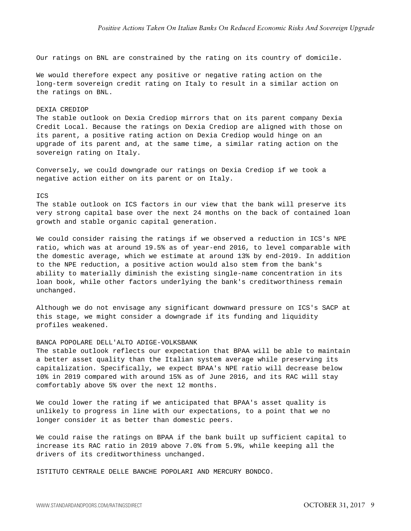Our ratings on BNL are constrained by the rating on its country of domicile.

We would therefore expect any positive or negative rating action on the long-term sovereign credit rating on Italy to result in a similar action on the ratings on BNL.

# DEXIA CREDIOP

The stable outlook on Dexia Crediop mirrors that on its parent company Dexia Credit Local. Because the ratings on Dexia Crediop are aligned with those on its parent, a positive rating action on Dexia Crediop would hinge on an upgrade of its parent and, at the same time, a similar rating action on the sovereign rating on Italy.

Conversely, we could downgrade our ratings on Dexia Crediop if we took a negative action either on its parent or on Italy.

#### ICS

The stable outlook on ICS factors in our view that the bank will preserve its very strong capital base over the next 24 months on the back of contained loan growth and stable organic capital generation.

We could consider raising the ratings if we observed a reduction in ICS's NPE ratio, which was at around 19.5% as of year-end 2016, to level comparable with the domestic average, which we estimate at around 13% by end-2019. In addition to the NPE reduction, a positive action would also stem from the bank's ability to materially diminish the existing single-name concentration in its loan book, while other factors underlying the bank's creditworthiness remain unchanged.

Although we do not envisage any significant downward pressure on ICS's SACP at this stage, we might consider a downgrade if its funding and liquidity profiles weakened.

# BANCA POPOLARE DELL'ALTO ADIGE-VOLKSBANK

The stable outlook reflects our expectation that BPAA will be able to maintain a better asset quality than the Italian system average while preserving its capitalization. Specifically, we expect BPAA's NPE ratio will decrease below 10% in 2019 compared with around 15% as of June 2016, and its RAC will stay comfortably above 5% over the next 12 months.

We could lower the rating if we anticipated that BPAA's asset quality is unlikely to progress in line with our expectations, to a point that we no longer consider it as better than domestic peers.

We could raise the ratings on BPAA if the bank built up sufficient capital to increase its RAC ratio in 2019 above 7.0% from 5.9%, while keeping all the drivers of its creditworthiness unchanged.

ISTITUTO CENTRALE DELLE BANCHE POPOLARI AND MERCURY BONDCO.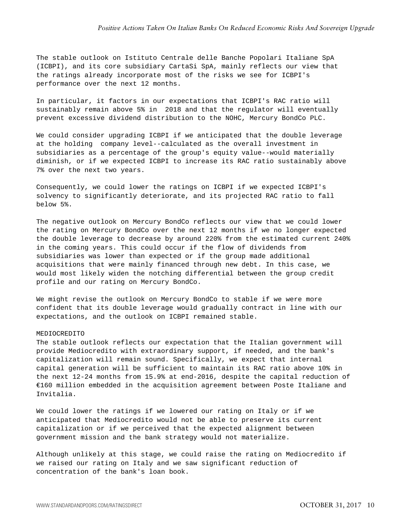The stable outlook on Istituto Centrale delle Banche Popolari Italiane SpA (ICBPI), and its core subsidiary CartaSi SpA, mainly reflects our view that the ratings already incorporate most of the risks we see for ICBPI's performance over the next 12 months.

In particular, it factors in our expectations that ICBPI's RAC ratio will sustainably remain above 5% in 2018 and that the regulator will eventually prevent excessive dividend distribution to the NOHC, Mercury BondCo PLC.

We could consider upgrading ICBPI if we anticipated that the double leverage at the holding company level--calculated as the overall investment in subsidiaries as a percentage of the group's equity value--would materially diminish, or if we expected ICBPI to increase its RAC ratio sustainably above 7% over the next two years.

Consequently, we could lower the ratings on ICBPI if we expected ICBPI's solvency to significantly deteriorate, and its projected RAC ratio to fall below 5%.

The negative outlook on Mercury BondCo reflects our view that we could lower the rating on Mercury BondCo over the next 12 months if we no longer expected the double leverage to decrease by around 220% from the estimated current 240% in the coming years. This could occur if the flow of dividends from subsidiaries was lower than expected or if the group made additional acquisitions that were mainly financed through new debt. In this case, we would most likely widen the notching differential between the group credit profile and our rating on Mercury BondCo.

We might revise the outlook on Mercury BondCo to stable if we were more confident that its double leverage would gradually contract in line with our expectations, and the outlook on ICBPI remained stable.

# MEDIOCREDITO

The stable outlook reflects our expectation that the Italian government will provide Mediocredito with extraordinary support, if needed, and the bank's capitalization will remain sound. Specifically, we expect that internal capital generation will be sufficient to maintain its RAC ratio above 10% in the next 12-24 months from 15.9% at end-2016, despite the capital reduction of €160 million embedded in the acquisition agreement between Poste Italiane and Invitalia.

We could lower the ratings if we lowered our rating on Italy or if we anticipated that Mediocredito would not be able to preserve its current capitalization or if we perceived that the expected alignment between government mission and the bank strategy would not materialize.

Although unlikely at this stage, we could raise the rating on Mediocredito if we raised our rating on Italy and we saw significant reduction of concentration of the bank's loan book.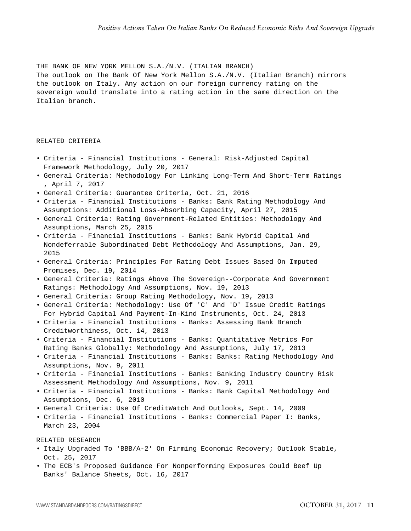THE BANK OF NEW YORK MELLON S.A./N.V. (ITALIAN BRANCH) The outlook on The Bank Of New York Mellon S.A./N.V. (Italian Branch) mirrors the outlook on Italy. Any action on our foreign currency rating on the sovereign would translate into a rating action in the same direction on the Italian branch.

# RELATED CRITERIA

- Criteria Financial Institutions General: Risk-Adjusted Capital Framework Methodology, July 20, 2017
- General Criteria: Methodology For Linking Long-Term And Short-Term Ratings , April 7, 2017
- General Criteria: Guarantee Criteria, Oct. 21, 2016
- Criteria Financial Institutions Banks: Bank Rating Methodology And Assumptions: Additional Loss-Absorbing Capacity, April 27, 2015
- General Criteria: Rating Government-Related Entities: Methodology And Assumptions, March 25, 2015
- Criteria Financial Institutions Banks: Bank Hybrid Capital And Nondeferrable Subordinated Debt Methodology And Assumptions, Jan. 29, 2015
- General Criteria: Principles For Rating Debt Issues Based On Imputed Promises, Dec. 19, 2014
- General Criteria: Ratings Above The Sovereign--Corporate And Government Ratings: Methodology And Assumptions, Nov. 19, 2013
- General Criteria: Group Rating Methodology, Nov. 19, 2013
- General Criteria: Methodology: Use Of 'C' And 'D' Issue Credit Ratings For Hybrid Capital And Payment-In-Kind Instruments, Oct. 24, 2013
- Criteria Financial Institutions Banks: Assessing Bank Branch Creditworthiness, Oct. 14, 2013
- Criteria Financial Institutions Banks: Quantitative Metrics For Rating Banks Globally: Methodology And Assumptions, July 17, 2013
- Criteria Financial Institutions Banks: Banks: Rating Methodology And Assumptions, Nov. 9, 2011
- Criteria Financial Institutions Banks: Banking Industry Country Risk Assessment Methodology And Assumptions, Nov. 9, 2011
- Criteria Financial Institutions Banks: Bank Capital Methodology And Assumptions, Dec. 6, 2010
- General Criteria: Use Of CreditWatch And Outlooks, Sept. 14, 2009
- Criteria Financial Institutions Banks: Commercial Paper I: Banks, March 23, 2004

RELATED RESEARCH

- Italy Upgraded To 'BBB/A-2' On Firming Economic Recovery; Outlook Stable, Oct. 25, 2017
- The ECB's Proposed Guidance For Nonperforming Exposures Could Beef Up Banks' Balance Sheets, Oct. 16, 2017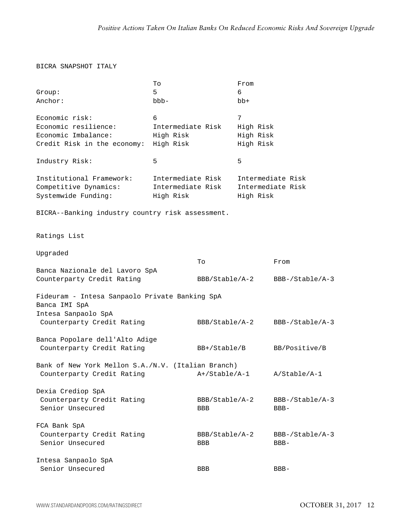# BICRA SNAPSHOT ITALY

|                                                                 | To                |                | From              |                   |
|-----------------------------------------------------------------|-------------------|----------------|-------------------|-------------------|
| Group:                                                          | 5                 |                | 6                 |                   |
| Anchor:                                                         | $bbb -$           |                | $bb+$             |                   |
| Economic risk:                                                  | 6                 |                | 7                 |                   |
| Economic resilience:                                            | Intermediate Risk |                | High Risk         |                   |
| Economic Imbalance:                                             | High Risk         |                | High Risk         |                   |
| Credit Risk in the economy: High Risk                           |                   |                | High Risk         |                   |
| Industry Risk:                                                  | 5                 |                | 5                 |                   |
| Institutional Framework:                                        | Intermediate Risk |                |                   | Intermediate Risk |
| Competitive Dynamics:                                           | Intermediate Risk |                | Intermediate Risk |                   |
| Systemwide Funding:                                             | High Risk         |                | High Risk         |                   |
| BICRA--Banking industry country risk assessment.                |                   |                |                   |                   |
| Ratings List                                                    |                   |                |                   |                   |
| Upgraded                                                        |                   |                |                   |                   |
|                                                                 |                   | To             |                   | From              |
| Banca Nazionale del Lavoro SpA                                  |                   |                |                   |                   |
| Counterparty Credit Rating                                      |                   | BBB/Stable/A-2 |                   | BBB-/Stable/A-3   |
| Fideuram - Intesa Sanpaolo Private Banking SpA<br>Banca IMI SpA |                   |                |                   |                   |
| Intesa Sanpaolo SpA                                             |                   |                |                   |                   |
| Counterparty Credit Rating                                      |                   | BBB/Stable/A-2 |                   | BBB-/Stable/A-3   |
| Banca Popolare dell'Alto Adige                                  |                   |                |                   |                   |
| Counterparty Credit Rating                                      |                   | BB+/Stable/B   |                   | BB/Positive/B     |
| Bank of New York Mellon S.A./N.V. (Italian Branch)              |                   |                |                   |                   |
| Counterparty Credit Rating                                      |                   | A+/Stable/A-1  |                   | A/Stable/A-1      |
| Dexia Crediop SpA                                               |                   |                |                   |                   |
| Counterparty Credit Rating                                      |                   | BBB/Stable/A-2 |                   | BBB-/Stable/A-3   |
| Senior Unsecured                                                |                   | <b>BBB</b>     |                   | $BBB-$            |
| FCA Bank SpA                                                    |                   |                |                   |                   |
| Counterparty Credit Rating                                      |                   | BBB/Stable/A-2 |                   | $BBB-/Stable/A-3$ |
| Senior Unsecured                                                |                   | <b>BBB</b>     |                   | $BBB-$            |
| Intesa Sanpaolo SpA                                             |                   |                |                   |                   |
| Senior Unsecured                                                |                   | <b>BBB</b>     |                   | $BBB-$            |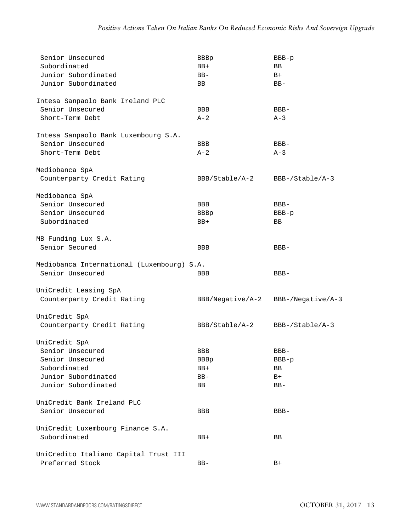| Senior Unsecured                           | <b>BBBp</b>      | $BBB-p$             |
|--------------------------------------------|------------------|---------------------|
| Subordinated                               | $BB+$            | BB.                 |
| Junior Subordinated                        | $BB-$            | $B+$                |
| Junior Subordinated                        | BB.              | $BB-$               |
| Intesa Sanpaolo Bank Ireland PLC           |                  |                     |
| Senior Unsecured                           | BBB              | $BBB-$              |
| Short-Term Debt                            | $A - 2$          | $A-3$               |
| Intesa Sanpaolo Bank Luxembourg S.A.       |                  |                     |
| Senior Unsecured                           | <b>BBB</b>       | $BBB-$              |
| Short-Term Debt                            | $A-2$            | $A-3$               |
| Mediobanca SpA                             |                  |                     |
| Counterparty Credit Rating                 | BBB/Stable/A-2   | $BBB-/Stable/A-3$   |
| Mediobanca SpA                             |                  |                     |
| Senior Unsecured                           | <b>BBB</b>       | $BBB-$              |
| Senior Unsecured                           | <b>BBBp</b>      | $BBB-p$             |
| Subordinated                               | $BB+$            | BB                  |
| MB Funding Lux S.A.                        |                  |                     |
| Senior Secured                             | <b>BBB</b>       | $BBB-$              |
| Mediobanca International (Luxembourg) S.A. |                  |                     |
| Senior Unsecured                           | <b>BBB</b>       | BBB-                |
| UniCredit Leasing SpA                      |                  |                     |
| Counterparty Credit Rating                 | BBB/Negative/A-2 | $BBB-/Negative/A-3$ |
| UniCredit SpA                              |                  |                     |
| Counterparty Credit Rating                 | BBB/Stable/A-2   | $BBB-/Stable/A-3$   |
| UniCredit SpA                              |                  |                     |
| Senior Unsecured                           | BBB              | $BBB -$             |
| Senior Unsecured                           | <b>BBBp</b>      | $BBB-p$             |
| Subordinated                               | $BB+$            | BB                  |
| Junior Subordinated                        | $BB-$            | $B+$                |
| Junior Subordinated                        | BB               | $BB-$               |
|                                            |                  |                     |
| UniCredit Bank Ireland PLC                 |                  |                     |
| Senior Unsecured                           | BBB              | $BBB-$              |
| UniCredit Luxembourg Finance S.A.          |                  |                     |
| Subordinated                               | BB+              | BB                  |
| UniCredito Italiano Capital Trust III      |                  |                     |
| Preferred Stock                            | $BB-$            | $B+$                |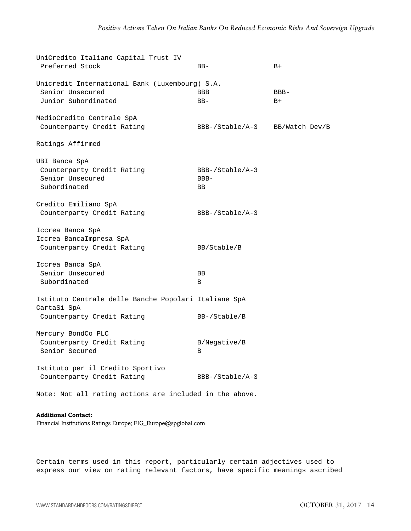| UniCredito Italiano Capital Trust IV                    |                   |                |
|---------------------------------------------------------|-------------------|----------------|
| Preferred Stock                                         | $BB-$             | $B+$           |
| Unicredit International Bank (Luxembourg) S.A.          |                   |                |
| Senior Unsecured                                        | <b>BBB</b>        | $BBB-$         |
| Junior Subordinated                                     | $BB-$             | $B+$           |
| MedioCredito Centrale SpA                               |                   |                |
| Counterparty Credit Rating                              | BBB-/Stable/A-3   | BB/Watch Dev/B |
| Ratings Affirmed                                        |                   |                |
| UBI Banca SpA                                           |                   |                |
| Counterparty Credit Rating                              | $BBB-/Stable/A-3$ |                |
| Senior Unsecured                                        | BBB-              |                |
| Subordinated                                            | <b>BB</b>         |                |
| Credito Emiliano SpA                                    |                   |                |
| Counterparty Credit Rating                              | $BBB-/Stable/A-3$ |                |
|                                                         |                   |                |
| Iccrea Banca SpA                                        |                   |                |
| Iccrea BancaImpresa SpA                                 |                   |                |
| Counterparty Credit Rating                              | BB/Stable/B       |                |
| Iccrea Banca SpA                                        |                   |                |
| Senior Unsecured                                        | BB                |                |
| Subordinated                                            | B                 |                |
| Istituto Centrale delle Banche Popolari Italiane SpA    |                   |                |
| CartaSi SpA                                             |                   |                |
| Counterparty Credit Rating                              | $BB-/Stable/B$    |                |
| Mercury BondCo PLC                                      |                   |                |
| Counterparty Credit Rating                              | B/Negative/B      |                |
| Senior Secured                                          | B                 |                |
|                                                         |                   |                |
| Istituto per il Credito Sportivo                        |                   |                |
| Counterparty Credit Rating                              | $BBB-/Stable/A-3$ |                |
| Note: Not all rating actions are included in the above. |                   |                |

**Additional Contact:** Financial Institutions Ratings Europe; FIG\_Europe@spglobal.com

Certain terms used in this report, particularly certain adjectives used to express our view on rating relevant factors, have specific meanings ascribed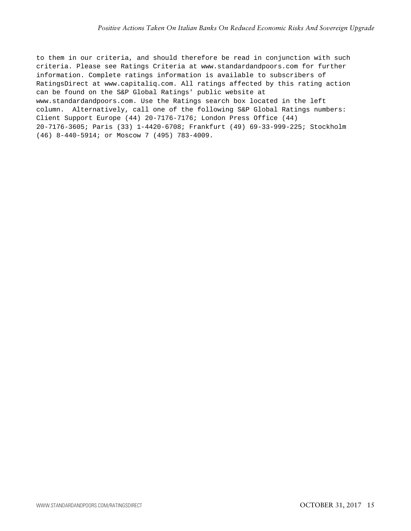to them in our criteria, and should therefore be read in conjunction with such criteria. Please see Ratings Criteria at www.standardandpoors.com for further information. Complete ratings information is available to subscribers of RatingsDirect at www.capitaliq.com. All ratings affected by this rating action can be found on the S&P Global Ratings' public website at www.standardandpoors.com. Use the Ratings search box located in the left column. Alternatively, call one of the following S&P Global Ratings numbers: Client Support Europe (44) 20-7176-7176; London Press Office (44) 20-7176-3605; Paris (33) 1-4420-6708; Frankfurt (49) 69-33-999-225; Stockholm (46) 8-440-5914; or Moscow 7 (495) 783-4009.